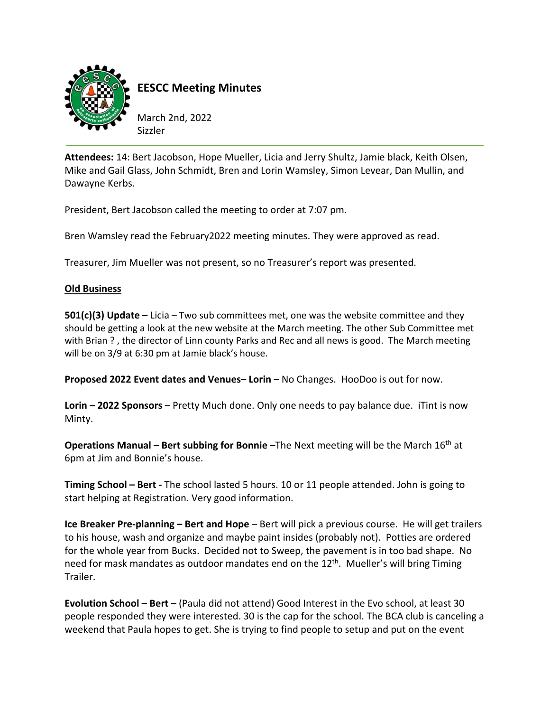

**EESCC Meeting Minutes**

March 2nd, 2022 Sizzler

**Attendees:** 14: Bert Jacobson, Hope Mueller, Licia and Jerry Shultz, Jamie black, Keith Olsen, Mike and Gail Glass, John Schmidt, Bren and Lorin Wamsley, Simon Levear, Dan Mullin, and Dawayne Kerbs.

President, Bert Jacobson called the meeting to order at 7:07 pm.

Bren Wamsley read the February2022 meeting minutes. They were approved as read.

Treasurer, Jim Mueller was not present, so no Treasurer's report was presented.

## **Old Business**

**501(c)(3) Update** – Licia – Two sub committees met, one was the website committee and they should be getting a look at the new website at the March meeting. The other Sub Committee met with Brian ? , the director of Linn county Parks and Rec and all news is good. The March meeting will be on 3/9 at 6:30 pm at Jamie black's house.

**Proposed 2022 Event dates and Venues– Lorin** – No Changes. HooDoo is out for now.

**Lorin – 2022 Sponsors** – Pretty Much done. Only one needs to pay balance due. iTint is now Minty.

**Operations Manual – Bert subbing for Bonnie** –The Next meeting will be the March 16th at 6pm at Jim and Bonnie's house.

**Timing School – Bert ‐** The school lasted 5 hours. 10 or 11 people attended. John is going to start helping at Registration. Very good information.

**Ice Breaker Pre‐planning – Bert and Hope** – Bert will pick a previous course. He will get trailers to his house, wash and organize and maybe paint insides (probably not). Potties are ordered for the whole year from Bucks. Decided not to Sweep, the pavement is in too bad shape. No need for mask mandates as outdoor mandates end on the 12<sup>th</sup>. Mueller's will bring Timing Trailer.

**Evolution School – Bert –** (Paula did not attend) Good Interest in the Evo school, at least 30 people responded they were interested. 30 is the cap for the school. The BCA club is canceling a weekend that Paula hopes to get. She is trying to find people to setup and put on the event